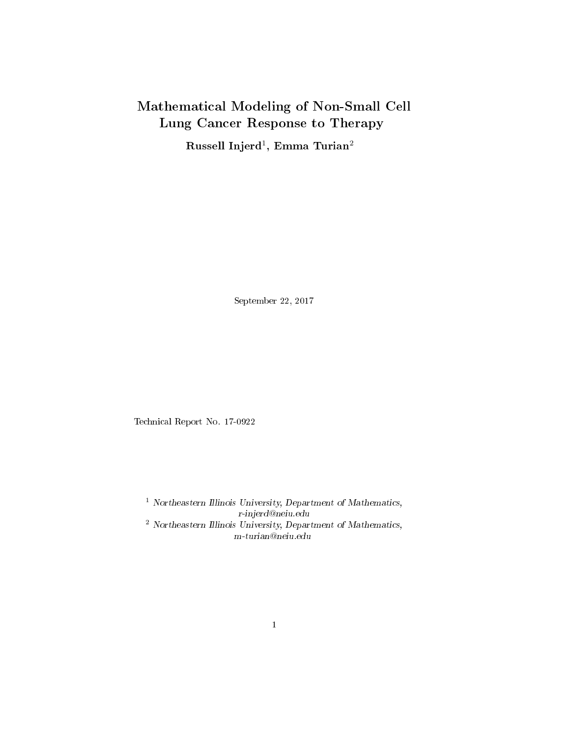# Mathematical Modeling of Non-Small Cell Lung Cancer Response to Therapy

Russell Injerd $^1, \, {\rm Emma\; Turian^2}$ 

September 22, 2017

Technical Report No. 17-0922

<sup>1</sup> Northeastern Illinois University, Department of Mathematics, r-injerd@neiu.edu <sup>2</sup> Northeastern Illinois University, Department of Mathematics, m-turian@neiu.edu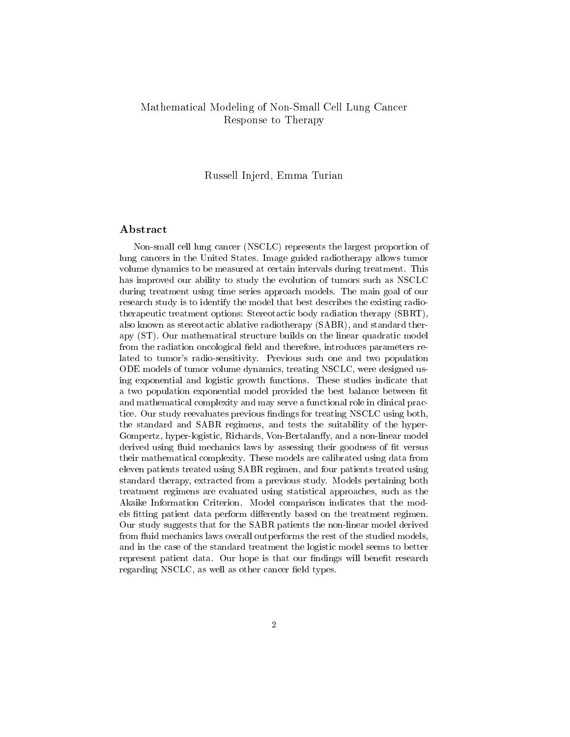## Mathematical Modeling of Non-Small Cell Lung Cancer Response to Therapy

## Russell Injerd, Emma Turian

## Abstract

Non-small cell lung cancer (NSCLC) represents the largest proportion of lung cancers in the United States. Image guided radiotherapy allows tumor volume dynamics to be measured at certain intervals during treatment. This has improved our ability to study the evolution of tumors such as NSCLC during treatment using time series approach models. The main goal of our research study is to identify the model that best describes the existing radiotherapeutic treatment options: Stereotactic body radiation therapy (SBRT), also known as stereotactic ablative radiotherapy (SABR), and standard therapy (ST). Our mathematical structure builds on the linear quadratic model from the radiation oncological field and therefore, introduces parameters related to tumor's radio-sensitivity. Previous such one and two population ODE models of tumor volume dynamics, treating NSCLC, were designed using exponential and logistic growth functions. These studies indicate that a two population exponential model provided the best balance between fit and mathematical complexity and may serve a functional role in clinical practice. Our study reevaluates previous findings for treating NSCLC using both, the standard and SABR regimens, and tests the suitability of the hyper-Gompertz, hyper-logistic, Richards, Von-Bertalanffy, and a non-linear model derived using fluid mechanics laws by assessing their goodness of fit versus their mathematical complexity. These models are calibrated using data from eleven patients treated using SABR regimen, and four patients treated using standard therapy, extracted from a previous study. Models pertaining both treatment regimens are evaluated using statistical approaches, such as the Akaike Information Criterion. Model comparison indicates that the models fitting patient data perform differently based on the treatment regimen. Our study suggests that for the SABR patients the non-linear model derived from fluid mechanics laws overall outperforms the rest of the studied models, and in the case of the standard treatment the logistic model seems to better represent patient data. Our hope is that our findings will benefit research regarding NSCLC, as well as other cancer field types.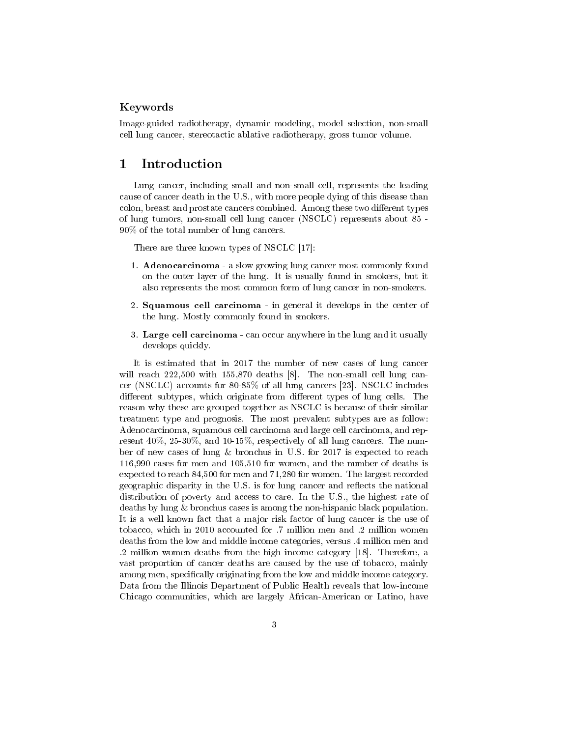## Keywords

Image-guided radiotherapy, dynamic modeling, model selection, non-small cell lung cancer, stereotactic ablative radiotherapy, gross tumor volume.

## 1 Introduction

Lung cancer, including small and non-small cell, represents the leading cause of cancer death in the U.S., with more people dying of this disease than colon, breast and prostate cancers combined. Among these two different types of lung tumors, non-small cell lung cancer (NSCLC) represents about 85 - 90% of the total number of lung cancers.

There are three known types of NSCLC [17]:

- 1. Adenocarcinoma a slow growing lung cancer most commonly found on the outer layer of the lung. It is usually found in smokers, but it also represents the most common form of lung cancer in non-smokers.
- 2. Squamous cell carcinoma in general it develops in the center of the lung. Mostly commonly found in smokers.
- 3. Large cell carcinoma can occur anywhere in the lung and it usually develops quickly.

It is estimated that in 2017 the number of new cases of lung cancer will reach 222,500 with 155,870 deaths [8]. The non-small cell lung cancer (NSCLC) accounts for 80-85% of all lung cancers [23]. NSCLC includes different subtypes, which originate from different types of lung cells. The reason why these are grouped together as NSCLC is because of their similar treatment type and prognosis. The most prevalent subtypes are as follow: Adenocarcinoma, squamous cell carcinoma and large cell carcinoma, and represent 40%, 25-30%, and 10-15%, respectively of all lung cancers. The number of new cases of lung & bronchus in U.S. for 2017 is expected to reach 116,990 cases for men and 105,510 for women, and the number of deaths is expected to reach 84,500 for men and 71,280 for women. The largest recorded geographic disparity in the U.S. is for lung cancer and reflects the national distribution of poverty and access to care. In the U.S., the highest rate of deaths by lung & bronchus cases is among the non-hispanic black population. It is a well known fact that a major risk factor of lung cancer is the use of tobacco, which in 2010 accounted for .7 million men and .2 million women deaths from the low and middle income categories, versus .4 million men and .2 million women deaths from the high income category [18]. Therefore, a vast proportion of cancer deaths are caused by the use of tobacco, mainly among men, specifically originating from the low and middle income category. Data from the Illinois Department of Public Health reveals that low-income Chicago communities, which are largely African-American or Latino, have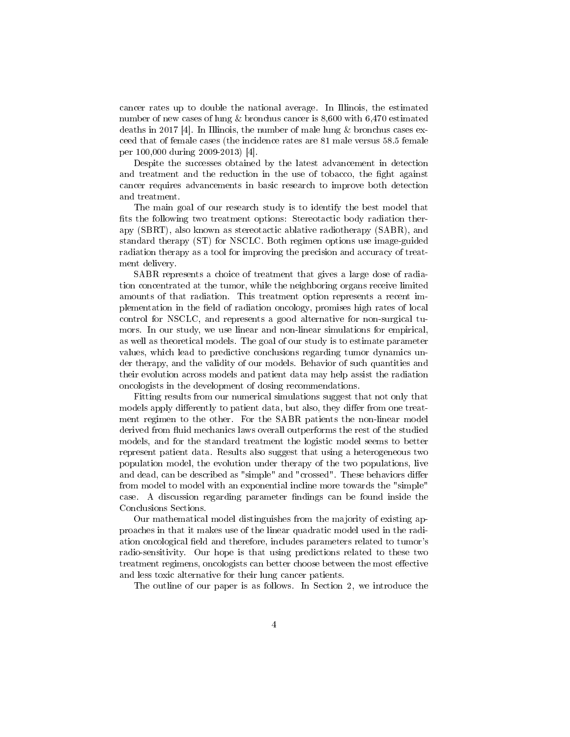cancer rates up to double the national average. In Illinois, the estimated number of new cases of lung & bronchus cancer is 8,600 with 6,470 estimated deaths in 2017 [4]. In Illinois, the number of male lung  $\&$  bronchus cases exceed that of female cases (the incidence rates are 81 male versus 58.5 female per 100,000 during 2009-2013) [4].

Despite the successes obtained by the latest advancement in detection and treatment and the reduction in the use of tobacco, the fight against cancer requires advancements in basic research to improve both detection and treatment.

The main goal of our research study is to identify the best model that fits the following two treatment options: Stereotactic body radiation therapy (SBRT), also known as stereotactic ablative radiotherapy (SABR), and standard therapy (ST) for NSCLC. Both regimen options use image-guided radiation therapy as a tool for improving the precision and accuracy of treatment delivery.

SABR represents a choice of treatment that gives a large dose of radiation concentrated at the tumor, while the neighboring organs receive limited amounts of that radiation. This treatment option represents a recent implementation in the field of radiation oncology, promises high rates of local control for NSCLC, and represents a good alternative for non-surgical tumors. In our study, we use linear and non-linear simulations for empirical, as well as theoretical models. The goal of our study is to estimate parameter values, which lead to predictive conclusions regarding tumor dynamics under therapy, and the validity of our models. Behavior of such quantities and their evolution across models and patient data may help assist the radiation oncologists in the development of dosing recommendations.

Fitting results from our numerical simulations suggest that not only that models apply differently to patient data, but also, they differ from one treatment regimen to the other. For the SABR patients the non-linear model derived from fluid mechanics laws overall outperforms the rest of the studied models, and for the standard treatment the logistic model seems to better represent patient data. Results also suggest that using a heterogeneous two population model, the evolution under therapy of the two populations, live and dead, can be described as "simple" and "crossed". These behaviors differ from model to model with an exponential incline more towards the "simple" case. A discussion regarding parameter findings can be found inside the Conclusions Sections.

Our mathematical model distinguishes from the majority of existing approaches in that it makes use of the linear quadratic model used in the radiation oncological field and therefore, includes parameters related to tumor's radio-sensitivity. Our hope is that using predictions related to these two treatment regimens, oncologists can better choose between the most effective and less toxic alternative for their lung cancer patients.

The outline of our paper is as follows. In Section 2, we introduce the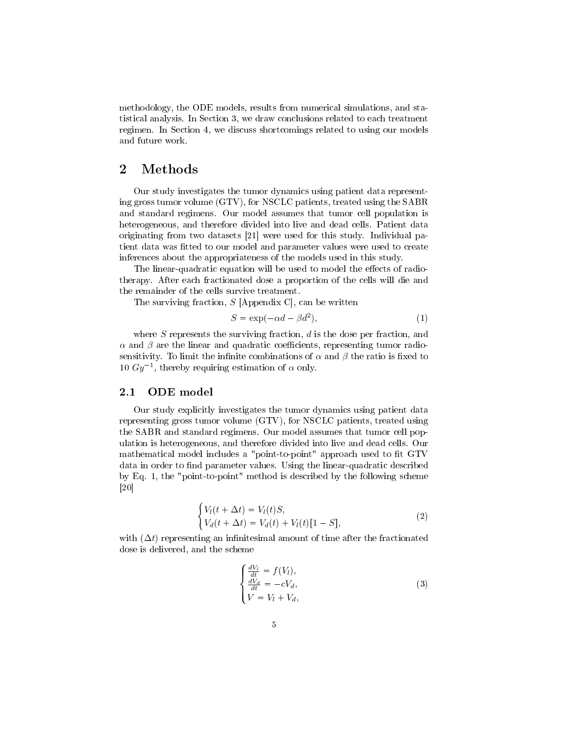methodology, the ODE models, results from numerical simulations, and statistical analysis. In Section 3, we draw conclusions related to each treatment regimen. In Section 4, we discuss shortcomings related to using our models and future work.

## 2 Methods

Our study investigates the tumor dynamics using patient data representing gross tumor volume (GTV), for NSCLC patients, treated using the SABR and standard regimens. Our model assumes that tumor cell population is heterogeneous, and therefore divided into live and dead cells. Patient data originating from two datasets [21] were used for this study. Individual patient data was fitted to our model and parameter values were used to create inferences about the appropriateness of the models used in this study.

The linear-quadratic equation will be used to model the effects of radiotherapy. After each fractionated dose a proportion of the cells will die and the remainder of the cells survive treatment.

The surviving fraction,  $S$  [Appendix C], can be written

$$
S = \exp(-\alpha d - \beta d^2),\tag{1}
$$

where  $S$  represents the surviving fraction,  $d$  is the dose per fraction, and  $\alpha$  and  $\beta$  are the linear and quadratic coefficients, representing tumor radiosensitivity. To limit the infinite combinations of  $\alpha$  and  $\beta$  the ratio is fixed to 10  $Gy^{-1}$ , thereby requiring estimation of  $\alpha$  only.

#### 2.1 ODE model

Our study explicitly investigates the tumor dynamics using patient data representing gross tumor volume (GTV), for NSCLC patients, treated using the SABR and standard regimens. Our model assumes that tumor cell population is heterogeneous, and therefore divided into live and dead cells. Our mathematical model includes a "point-to-point" approach used to fit GTV data in order to find parameter values. Using the linear-quadratic described by Eq. 1, the "point-to-point" method is described by the following scheme [20]

$$
\begin{cases}\nV_l(t + \Delta t) = V_l(t)S, \\
V_d(t + \Delta t) = V_d(t) + V_l(t)[1 - S],\n\end{cases}
$$
\n(2)

with  $(\Delta t)$  representing an infinitesimal amount of time after the fractionated dose is delivered, and the scheme

$$
\begin{cases}\n\frac{dV_l}{dt} = f(V_l),\\ \n\frac{dV_d}{dt} = -cV_d,\\ \nV = V_l + V_d,\n\end{cases}
$$
\n(3)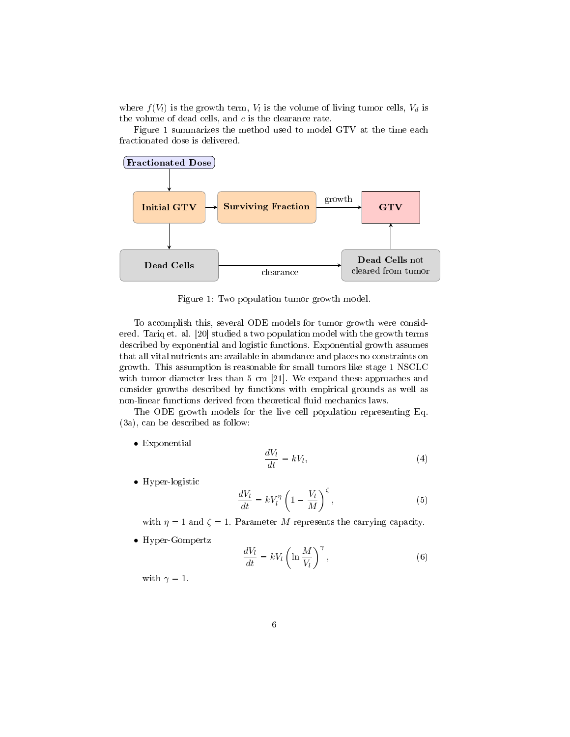where  $f(V_l)$  is the growth term,  $V_l$  is the volume of living tumor cells,  $V_d$  is the volume of dead cells, and  $c$  is the clearance rate.

Figure 1 summarizes the method used to model GTV at the time each fractionated dose is delivered.



Figure 1: Two population tumor growth model.

To accomplish this, several ODE models for tumor growth were considered. Tariq et. al. [20] studied a two population model with the growth terms described by exponential and logistic functions. Exponential growth assumes that all vital nutrients are available in abundance and places no constraints on growth. This assumption is reasonable for small tumors like stage 1 NSCLC with tumor diameter less than 5 cm [21]. We expand these approaches and consider growths described by functions with empirical grounds as well as non-linear functions derived from theoretical fluid mechanics laws.

The ODE growth models for the live cell population representing Eq. (3a), can be described as follow:

• Exponential

$$
\frac{dV_l}{dt} = kV_l,\t\t(4)
$$

• Hyper-logistic

$$
\frac{dV_l}{dt} = kV_l^{\eta} \left(1 - \frac{V_l}{M}\right)^{\zeta},\tag{5}
$$

with  $\eta = 1$  and  $\zeta = 1$ . Parameter M represents the carrying capacity.

• Hyper-Gompertz

$$
\frac{dV_l}{dt} = kV_l \left( \ln \frac{M}{V_l} \right)^{\gamma},\tag{6}
$$

with  $\gamma = 1$ .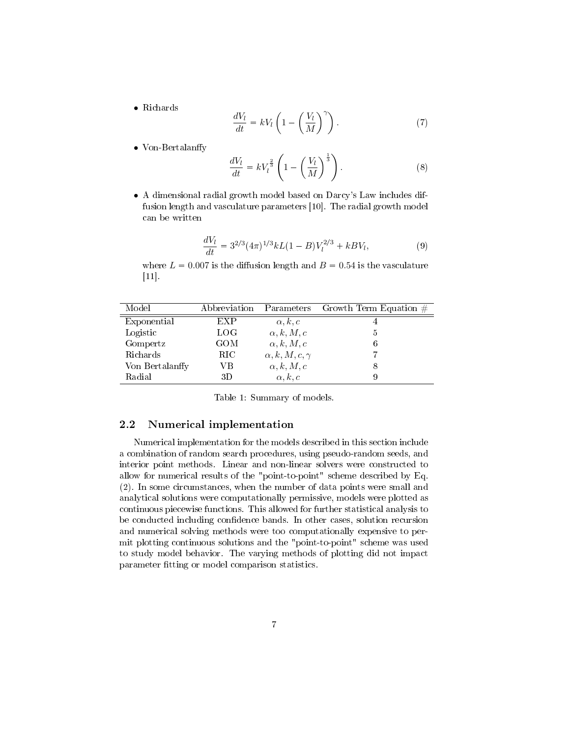• Richards

$$
\frac{dV_l}{dt} = kV_l \left(1 - \left(\frac{V_l}{M}\right)^{\gamma}\right). \tag{7}
$$

• Von-Bertalanffy

$$
\frac{dV_l}{dt} = kV_l^{\frac{2}{3}} \left( 1 - \left(\frac{V_l}{M}\right)^{\frac{1}{3}} \right). \tag{8}
$$

• A dimensional radial growth model based on Darcy's Law includes diffusion length and vasculature parameters [10]. The radial growth model can be written

$$
\frac{dV_l}{dt} = 3^{2/3} (4\pi)^{1/3} kL(1 - B)V_l^{2/3} + kBV_l,
$$
\n(9)

where  $L = 0.007$  is the diffusion length and  $B = 0.54$  is the vasculature [11].

| Model           | Abbreviation | Parameters                | Growth Term Equation $#$ |
|-----------------|--------------|---------------------------|--------------------------|
| Exponential     | EXP          | $\alpha, k, c$            |                          |
| Logistic        | LOG          | $\alpha, k, M, c$         | 5                        |
| Gompertz        | GOM          | $\alpha, k, M, c$         | 6                        |
| Richards        | RIC.         | $\alpha, k, M, c, \gamma$ |                          |
| Von Bertalanffy | VВ           | $\alpha, k, M, c$         |                          |
| Radial          | 3D           | $\alpha, k, c$            |                          |

Table 1: Summary of models.

### 2.2 Numerical implementation

Numerical implementation for the models described in this section include a combination of random search procedures, using pseudo-random seeds, and interior point methods. Linear and non-linear solvers were constructed to allow for numerical results of the "point-to-point" scheme described by Eq. (2). In some circumstances, when the number of data points were small and analytical solutions were computationally permissive, models were plotted as continuous piecewise functions. This allowed for further statistical analysis to be conducted including confidence bands. In other cases, solution recursion and numerical solving methods were too computationally expensive to permit plotting continuous solutions and the "point-to-point" scheme was used to study model behavior. The varying methods of plotting did not impact parameter fitting or model comparison statistics.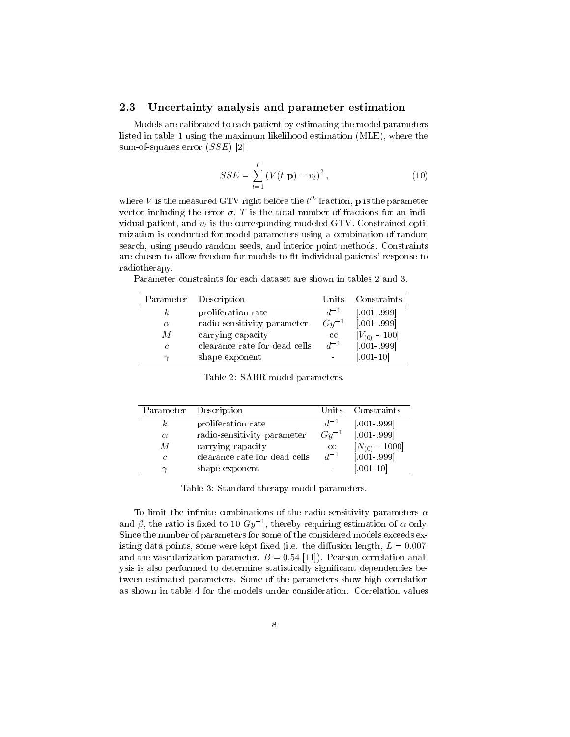#### 2.3 Uncertainty analysis and parameter estimation

Models are calibrated to each patient by estimating the model parameters listed in table 1 using the maximum likelihood estimation (MLE), where the sum-of-squares error (SSE) [2]

$$
SSE = \sum_{t=1}^{T} (V(t, \mathbf{p}) - v_t)^2, \qquad (10)
$$

where  $V$  is the measured GTV right before the  $t^{th}$  fraction,  ${\bf p}$  is the parameter vector including the error  $\sigma$ , T is the total number of fractions for an individual patient, and  $v_t$  is the corresponding modeled GTV. Constrained optimization is conducted for model parameters using a combination of random search, using pseudo random seeds, and interior point methods. Constraints are chosen to allow freedom for models to fit individual patients' response to radiotherapy.

| Parameter  | Description                   | Units     | Constraints       |
|------------|-------------------------------|-----------|-------------------|
|            | proliferation rate            | $d^{-1}$  | $[.001-.999]$     |
| $\alpha$   | radio-sensitivity parameter   | $Gy^{-1}$ | $[.001 - 999]$    |
| M          | carrying capacity             | cc        | $[V_{(0)} - 100]$ |
| $\epsilon$ | clearance rate for dead cells | $d^{-1}$  | $[.001-.999]$     |
| $\sim$     | shape exponent                |           | $[.001 - 10]$     |

Parameter constraints for each dataset are shown in tables 2 and 3.

| Table 2: SABR model parameters. |  |
|---------------------------------|--|
|---------------------------------|--|

| Parameter  | Description                   | Units     | Constraints        |
|------------|-------------------------------|-----------|--------------------|
| k.         | proliferation rate            |           | $[.001-.999]$      |
| $\alpha$   | radio-sensitivity parameter   | $Gy^{-1}$ | $[.001-.999]$      |
| M          | carrying capacity             | cc        | $[N_{(0)} - 1000]$ |
| $\epsilon$ | clearance rate for dead cells | $d^{-1}$  | $[.001-.999]$      |
| $\sim$     | shape exponent                |           | $[.001 - 10]$      |

Table 3: Standard therapy model parameters.

To limit the infinite combinations of the radio-sensitivity parameters  $\alpha$ and  $\beta$ , the ratio is fixed to 10  $Gy^{-1}$ , thereby requiring estimation of  $\alpha$  only. Since the number of parameters for some of the considered models exceeds existing data points, some were kept fixed (i.e. the diffusion length,  $L = 0.007$ , and the vascularization parameter,  $B = 0.54$  [11]). Pearson correlation analysis is also performed to determine statistically significant dependencies between estimated parameters. Some of the parameters show high correlation as shown in table 4 for the models under consideration. Correlation values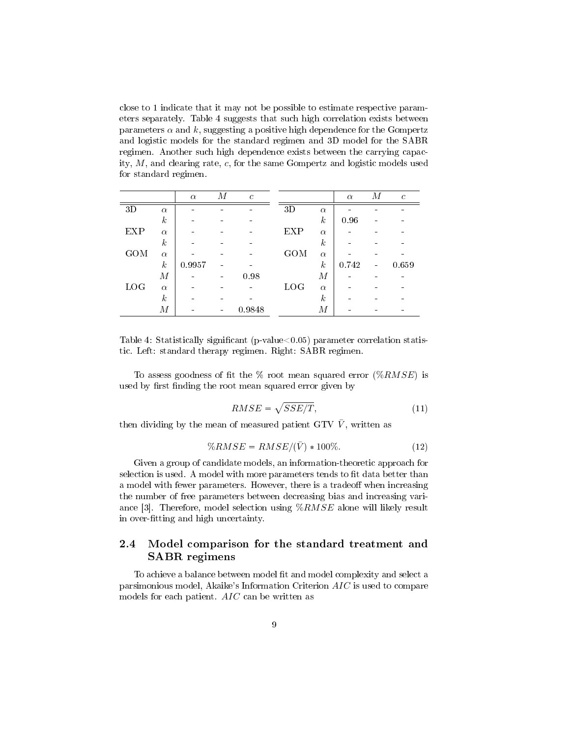close to 1 indicate that it may not be possible to estimate respective parameters separately. Table 4 suggests that such high correlation exists between parameters  $\alpha$  and k, suggesting a positive high dependence for the Gompertz and logistic models for the standard regimen and 3D model for the SABR regimen. Another such high dependence exists between the carrying capacity,  $M$ , and clearing rate,  $c$ , for the same Gompertz and logistic models used for standard regimen.

|            |                  | $\alpha$ | М | $\mathcal{C}$ |            |                  | $\alpha$ | М | $\mathcal{C}$ |
|------------|------------------|----------|---|---------------|------------|------------------|----------|---|---------------|
| 3D         | $\alpha$         |          |   |               | 3D         | $\alpha$         |          |   |               |
|            | $\boldsymbol{k}$ |          |   |               |            | $\boldsymbol{k}$ | 0.96     |   |               |
| EXP        | $\alpha$         |          |   |               | <b>EXP</b> | $\alpha$         |          |   |               |
|            | $\boldsymbol{k}$ |          |   |               |            | $\boldsymbol{k}$ |          |   |               |
| GOM        | $\alpha$         |          |   |               | GOM        | $\alpha$         |          |   |               |
|            | $\boldsymbol{k}$ | 0.9957   |   |               |            | $\boldsymbol{k}$ | 0.742    |   | 0.659         |
|            | $\boldsymbol{M}$ |          |   | 0.98          |            | $\boldsymbol{M}$ |          |   |               |
| <b>LOG</b> | $\alpha$         |          |   |               | <b>LOG</b> | $\alpha$         |          |   |               |
|            | $\boldsymbol{k}$ |          |   |               |            | $\boldsymbol{k}$ |          |   |               |
|            | $\boldsymbol{M}$ |          |   | 0.9848        |            | М                |          |   |               |

Table 4: Statistically significant (p-value $< 0.05$ ) parameter correlation statistic. Left: standard therapy regimen. Right: SABR regimen.

To assess goodness of fit the  $\%$  root mean squared error  $(\%RMSE)$  is used by first finding the root mean squared error given by

$$
RMSE = \sqrt{SSE/T},\tag{11}
$$

then dividing by the mean of measured patient GTV  $\bar{V}$ , written as

$$
\%RMSE = RMSE/(\bar{V}) * 100\%.
$$
\n
$$
(12)
$$

Given a group of candidate models, an information-theoretic approach for selection is used. A model with more parameters tends to fit data better than a model with fewer parameters. However, there is a tradeoff when increasing the number of free parameters between decreasing bias and increasing variance [3]. Therefore, model selection using %RMSE alone will likely result in over-fitting and high uncertainty.

## 2.4 Model comparison for the standard treatment and SABR regimens

To achieve a balance between model fit and model complexity and select a parsimonious model, Akaike's Information Criterion AIC is used to compare models for each patient. AIC can be written as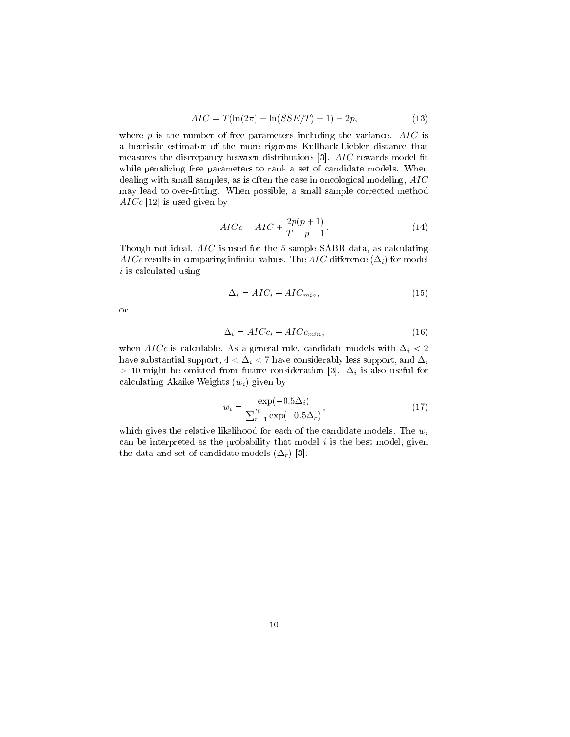$$
AIC = T(\ln(2\pi) + \ln(SSE/T) + 1) + 2p,
$$
\n(13)

where  $p$  is the number of free parameters including the variance. AIC is a heuristic estimator of the more rigorous Kullback-Liebler distance that measures the discrepancy between distributions  $[3]$ . AIC rewards model fit while penalizing free parameters to rank a set of candidate models. When dealing with small samples, as is often the case in oncological modeling, AIC may lead to over-fitting. When possible, a small sample corrected method  $AICc$  [12] is used given by

$$
AICc = AIC + \frac{2p(p+1)}{T - p - 1}.
$$
\n
$$
(14)
$$

Though not ideal, AIC is used for the 5 sample SABR data, as calculating AICc results in comparing infinite values. The AIC difference  $(\Delta_i)$  for model i is calculated using

$$
\Delta_i = AIC_i - AIC_{min},\tag{15}
$$

or

$$
\Delta_i = AICc_i - AICc_{min},\tag{16}
$$

when AICc is calculable. As a general rule, candidate models with  $\Delta_i$  < 2 have substantial support,  $4 < \Delta_i < 7$  have considerably less support, and  $\Delta_i$  $> 10$  might be omitted from future consideration [3].  $\Delta_i$  is also useful for calculating Akaike Weights  $(w_i)$  given by

$$
w_i = \frac{\exp(-0.5\Delta_i)}{\sum_{r=1}^{R} \exp(-0.5\Delta_r)},
$$
\n(17)

which gives the relative likelihood for each of the candidate models. The  $w_i$ can be interpreted as the probability that model  $i$  is the best model, given the data and set of candidate models  $(\Delta_r)$  [3].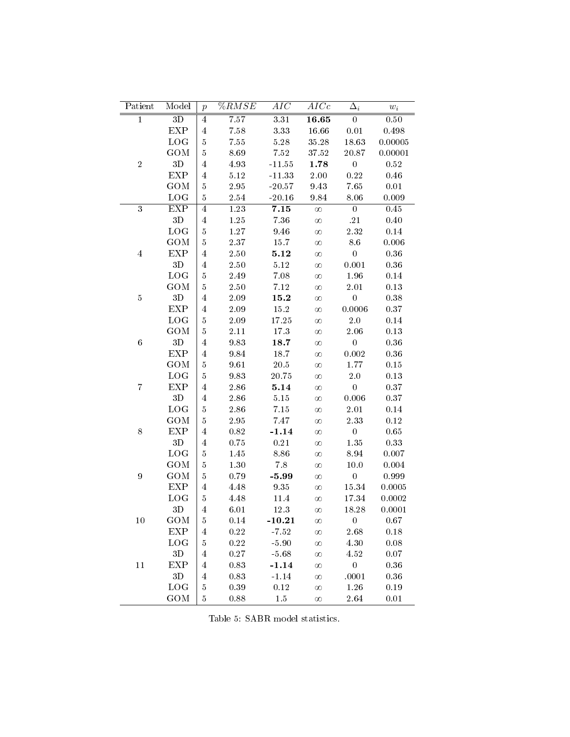| Patient                 | Model         | $\boldsymbol{p}$        | $\sqrt[6]{RMSE}$ | $\overline{AIC}$ | AICc                   | $\Delta_i$       | $\boldsymbol{w}_i$ |
|-------------------------|---------------|-------------------------|------------------|------------------|------------------------|------------------|--------------------|
| $\overline{1}$          | 3D            | $\bf 4$                 | 7.57             | 3.31             | $\overline{\bf 16.65}$ | $\overline{0}$   | $0.50\,$           |
|                         | EXP           | $\overline{4}$          | 7.58             | 3.33             | $16.66\,$              | $0.01\,$         | 0.498              |
|                         | <b>LOG</b>    | $\overline{5}$          | $7.55\,$         | $5.28\,$         | 35.28                  | 18.63            | 0.00005            |
|                         | GOM           | $5\,$                   | 8.69             | $7.52\,$         | 37.52                  | 20.87            | 0.00001            |
| $\,2$                   | $3\mathrm{D}$ | $\overline{\mathbf{4}}$ | 4.93             | $-11.55$         | 1.78                   | $\boldsymbol{0}$ | 0.52               |
|                         | <b>EXP</b>    | $\overline{4}$          | 5.12             | $-11.33$         | 2.00                   | 0.22             | 0.46               |
|                         | GOM           | $\bf 5$                 | 2.95             | $-20.57$         | 9.43                   | 7.65             | 0.01               |
|                         | <b>LOG</b>    | $5\,$                   | 2.54             | $-20.16$         | 9.84                   | 8.06             | 0.009              |
| $\overline{3}$          | <b>EXP</b>    | $\bf 4$                 | 1.23             | 7.15             | $\infty$               | $\boldsymbol{0}$ | 0.45               |
|                         | 3D            | $\overline{4}$          | $1.25\,$         | $7.36\,$         | $\infty$               | .21              | $0.40\,$           |
|                         | <b>LOG</b>    | $\overline{5}$          | 1.27             | 9.46             | $\infty$               | $2.32\,$         | $0.14\,$           |
|                         | GOM           | $5\,$                   | 2.37             | 15.7             | $\infty$               | $8.6\,$          | 0.006              |
| $\overline{\mathbf{4}}$ | <b>EXP</b>    | $\,4\,$                 | 2.50             | 5.12             | $\infty$               | $\overline{0}$   | 0.36               |
|                         | $3\mathrm{D}$ | $\overline{4}$          | 2.50             | $5.12\,$         | $\infty$               | 0.001            | $0.36\,$           |
|                         | <b>LOG</b>    | $\bf 5$                 | 2.49             | 7.08             | $\infty$               | 1.96             | 0.14               |
|                         | GOM           | $5\,$                   | 2.50             | 7.12             | $\infty$               | $2.01\,$         | 0.13               |
| $5\,$                   | $3\mathrm{D}$ | $\overline{\mathbf{4}}$ | 2.09             | 15.2             | $\infty$               | $\boldsymbol{0}$ | 0.38               |
|                         | <b>EXP</b>    | $\overline{4}$          | 2.09             | 15.2             | $\infty$               | 0.0006           | 0.37               |
|                         | <b>LOG</b>    | $\bf 5$                 | 2.09             | 17.25            | $\infty$               | $2.0\,$          | 0.14               |
|                         | GOM           | $5\,$                   | 2.11             | 17.3             | $\infty$               | $2.06\,$         | 0.13               |
| $\,6\,$                 | $3\mathrm{D}$ | $\overline{4}$          | 9.83             | 18.7             | $\infty$               | $\boldsymbol{0}$ | 0.36               |
|                         | <b>EXP</b>    | $\overline{4}$          | 9.84             | 18.7             | $\infty$               | 0.002            | 0.36               |
|                         | <b>GOM</b>    | $\bf 5$                 | 9.61             | 20.5             | $\infty$               | 1.77             | 0.15               |
|                         | LOG           | $\boldsymbol{5}$        | 9.83             | 20.75            | $\infty$               | $2.0\,$          | 0.13               |
| $\overline{7}$          | <b>EXP</b>    | $\overline{\mathbf{4}}$ | 2.86             | 5.14             | $\infty$               | $\boldsymbol{0}$ | 0.37               |
|                         | 3D            | $\overline{4}$          | 2.86             | $5.15\,$         | $\infty$               | 0.006            | 0.37               |
|                         | LOG           | $\bf 5$                 | 2.86             | 7.15             | $\infty$               | 2.01             | 0.14               |
|                         | <b>GOM</b>    | $5\,$                   | 2.95             | 7.47             | $\infty$               | 2.33             | 0.12               |
| $8\,$                   | <b>EXP</b>    | $\overline{\mathbf{4}}$ | 0.82             | $-1.14$          | $\infty$               | $\boldsymbol{0}$ | 0.65               |
|                         | $3\mathrm{D}$ | $\overline{4}$          | 0.75             | 0.21             | $\infty$               | 1.35             | 0.33               |
|                         | <b>LOG</b>    | 5                       | 1.45             | 8.86             | $\infty$               | 8.94             | 0.007              |
|                         | <b>GOM</b>    | $\bf 5$                 | 1.30             | 7.8              | $\infty$               | 10.0             | 0.004              |
| $\boldsymbol{9}$        | <b>GOM</b>    | $\overline{5}$          | 0.79             | $-5.99$          | $\infty$               | $\boldsymbol{0}$ | 0.999              |
|                         | EXP           | $\overline{\mathbf{4}}$ | 4.48             | 9.35             | $\infty$               | 15.34            | 0.0005             |
|                         | LOG           | $\bf 5$                 | 4.48             | 11.4             | $\infty$               | 17.34            | 0.0002             |
|                         | 3D            | $\overline{4}$          | 6.01             | 12.3             | $\infty$               | 18.28            | 0.0001             |
| 10                      | GOM           | $\overline{5}$          | 0.14             | $-10.21$         | $\infty$               | $\boldsymbol{0}$ | 0.67               |
|                         | <b>EXP</b>    | $\overline{4}$          | $0.22\,$         | $-7.52$          | $\infty$               | 2.68             | 0.18               |
|                         | LOG           | 5                       | $0.22\,$         | $-5.90$          | $\infty$               | 4.30             | 0.08               |
|                         | 3D            | $\overline{4}$          | $0.27\,$         | $-5.68$          | $\infty$               | 4.52             | $0.07\,$           |
| 11                      | <b>EXP</b>    | $\overline{4}$          | $0.83\,$         | $-1.14$          | $\infty$               | $\boldsymbol{0}$ | 0.36               |
|                         | $3\mathrm{D}$ | $\overline{4}$          | $0.83\,$         | $-1.14$          | $\infty$               | .0001            | $\rm 0.36$         |
|                         | LOG           | $\overline{5}$          | 0.39             | 0.12             | $\infty$               | 1.26             | 0.19               |
|                         | GOM           | $\bf 5$                 | 0.88             | $1.5\,$          | $\infty$               | 2.64             | 0.01               |
|                         |               |                         |                  |                  |                        |                  |                    |

Table 5: SABR model statistics.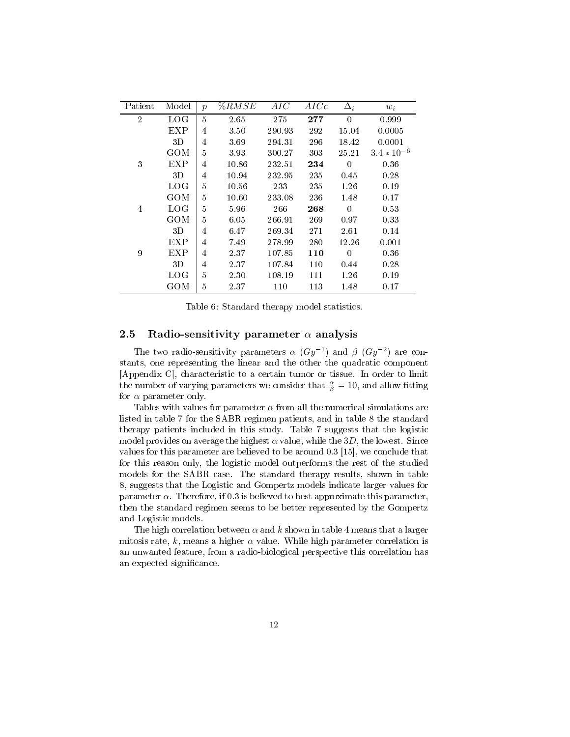| Patient        | Model             | $\mathcal{p}$ | %RMSE | AIC    | AICc | $\Delta_i$ | $w_i$           |
|----------------|-------------------|---------------|-------|--------|------|------------|-----------------|
| $\overline{2}$ | LOG               | 5             | 2.65  | 275    | 277  | $\Omega$   | 0.999           |
|                | <b>EXP</b>        | 4             | 3.50  | 290.93 | 292  | 15.04      | 0.0005          |
|                | 3D                | 4             | 3.69  | 294.31 | 296  | 18.42      | 0.0001          |
|                | GOM               | 5             | 3.93  | 300.27 | 303  | 25.21      | $3.4 * 10^{-6}$ |
| 3              | <b>EXP</b>        | 4             | 10.86 | 232.51 | 234  | $\Omega$   | 0.36            |
|                | 3D                | 4             | 10.94 | 232.95 | 235  | 0.45       | 0.28            |
|                | <b>LOG</b>        | 5             | 10.56 | 233    | 235  | 1.26       | 0.19            |
|                | GOM               | 5             | 10.60 | 233.08 | 236  | 1.48       | 0.17            |
| 4              | LOG               | 5             | 5.96  | 266    | 268  | $\Omega$   | 0.53            |
|                | GOM               | 5             | 6.05  | 266.91 | 269  | 0.97       | 0.33            |
|                | 3D                | 4             | 6.47  | 269.34 | 271  | 2.61       | 0.14            |
|                | EXP               | 4             | 7.49  | 278.99 | 280  | 12.26      | 0.001           |
| 9              | EXP               | 4             | 2.37  | 107.85 | 110  | $\Omega$   | 0.36            |
|                | 3D                | 4             | 2.37  | 107.84 | 110  | 0.44       | 0.28            |
|                | $_{\mathrm{LOG}}$ | 5             | 2.30  | 108.19 | 111  | 1.26       | 0.19            |
|                | GOM               | 5             | 2.37  | 110    | 113  | 1.48       | 0.17            |

Table 6: Standard therapy model statistics.

#### 2.5 Radio-sensitivity parameter  $\alpha$  analysis

The two radio-sensitivity parameters  $\alpha$  ( $Gy^{-1}$ ) and  $\beta$  ( $Gy^{-2}$ ) are constants, one representing the linear and the other the quadratic component [Appendix C], characteristic to a certain tumor or tissue. In order to limit the number of varying parameters we consider that  $\frac{\alpha}{\beta} = 10$ , and allow fitting for  $\alpha$  parameter only.

Tables with values for parameter  $\alpha$  from all the numerical simulations are listed in table 7 for the SABR regimen patients, and in table 8 the standard therapy patients included in this study. Table 7 suggests that the logistic model provides on average the highest  $\alpha$  value, while the 3D, the lowest. Since values for this parameter are believed to be around 0.3 [15], we conclude that for this reason only, the logistic model outperforms the rest of the studied models for the SABR case. The standard therapy results, shown in table 8, suggests that the Logistic and Gompertz models indicate larger values for parameter  $\alpha$ . Therefore, if 0.3 is believed to best approximate this parameter, then the standard regimen seems to be better represented by the Gompertz and Logistic models.

The high correlation between  $\alpha$  and k shown in table 4 means that a larger mitosis rate, k, means a higher  $\alpha$  value. While high parameter correlation is an unwanted feature, from a radio-biological perspective this correlation has an expected significance.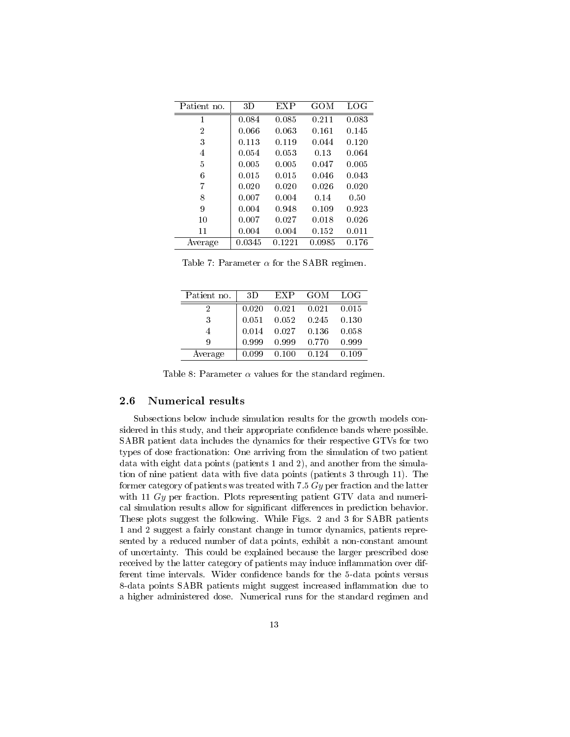| Patient no.    | 3D     | EXP    | GOM    | LOG   |
|----------------|--------|--------|--------|-------|
| 1              | 0.084  | 0.085  | 0.211  | 0.083 |
| 2              | 0.066  | 0.063  | 0.161  | 0.145 |
| 3              | 0.113  | 0.119  | 0.044  | 0.120 |
| 4              | 0.054  | 0.053  | 0.13   | 0.064 |
| 5              | 0.005  | 0.005  | 0.047  | 0.005 |
| 6              | 0.015  | 0.015  | 0.046  | 0.043 |
| 7              | 0.020  | 0.020  | 0.026  | 0.020 |
| 8              | 0.007  | 0.004  | 0.14   | 0.50  |
| 9              | 0.004  | 0.948  | 0.109  | 0.923 |
| 1 <sub>0</sub> | 0.007  | 0.027  | 0.018  | 0.026 |
| 11             | 0.004  | 0.004  | 0.152  | 0.011 |
| Average        | 0.0345 | 0.1221 | 0.0985 | 0.176 |

Table 7: Parameter  $\alpha$  for the SABR regimen.

| Patient no. | 3D    | EXP   | GOM   | LOG   |
|-------------|-------|-------|-------|-------|
|             | 0.020 | 0.021 | 0.021 | 0.015 |
| 3           | 0.051 | 0.052 | 0.245 | 0.130 |
|             | 0.014 | 0.027 | 0.136 | 0.058 |
| 9           | 0.999 | 0.999 | 0.770 | 0.999 |
| Average     | 0.099 | 0.100 | 0.124 | 0.109 |

Table 8: Parameter  $\alpha$  values for the standard regimen.

#### 2.6 Numerical results

Subsections below include simulation results for the growth models considered in this study, and their appropriate confidence bands where possible. SABR patient data includes the dynamics for their respective GTVs for two types of dose fractionation: One arriving from the simulation of two patient data with eight data points (patients 1 and 2), and another from the simulation of nine patient data with five data points (patients 3 through 11). The former category of patients was treated with 7.5  $Gy$  per fraction and the latter with 11  $Gy$  per fraction. Plots representing patient GTV data and numerical simulation results allow for significant differences in prediction behavior. These plots suggest the following. While Figs. 2 and 3 for SABR patients 1 and 2 suggest a fairly constant change in tumor dynamics, patients represented by a reduced number of data points, exhibit a non-constant amount of uncertainty. This could be explained because the larger prescribed dose received by the latter category of patients may induce inflammation over different time intervals. Wider confidence bands for the 5-data points versus 8-data points SABR patients might suggest increased inflammation due to a higher administered dose. Numerical runs for the standard regimen and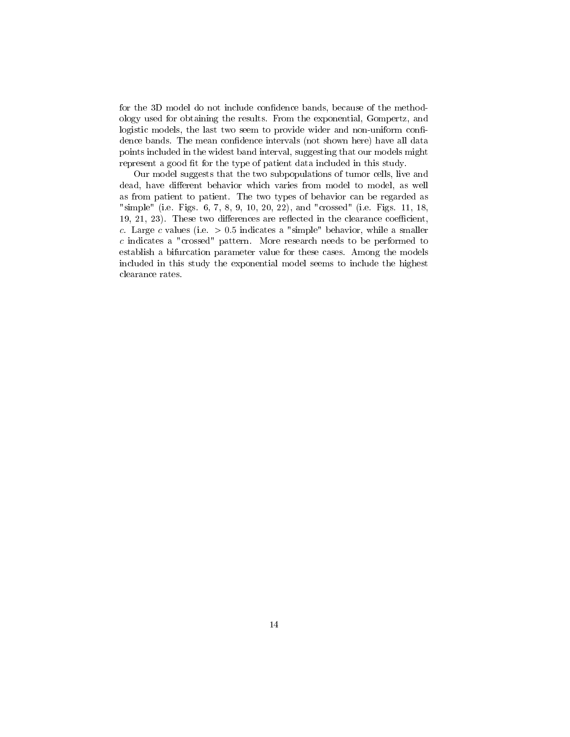for the 3D model do not include confidence bands, because of the methodology used for obtaining the results. From the exponential, Gompertz, and logistic models, the last two seem to provide wider and non-uniform confidence bands. The mean confidence intervals (not shown here) have all data points included in the widest band interval, suggesting that our models might represent a good fit for the type of patient data included in this study.

Our model suggests that the two subpopulations of tumor cells, live and dead, have different behavior which varies from model to model, as well as from patient to patient. The two types of behavior can be regarded as "simple" (i.e. Figs. 6, 7, 8, 9, 10, 20, 22), and "crossed" (i.e. Figs. 11, 18,  $19, 21, 23$ . These two differences are reflected in the clearance coefficient, c. Large c values (i.e.  $> 0.5$  indicates a "simple" behavior, while a smaller c indicates a "crossed" pattern. More research needs to be performed to establish a bifurcation parameter value for these cases. Among the models included in this study the exponential model seems to include the highest clearance rates.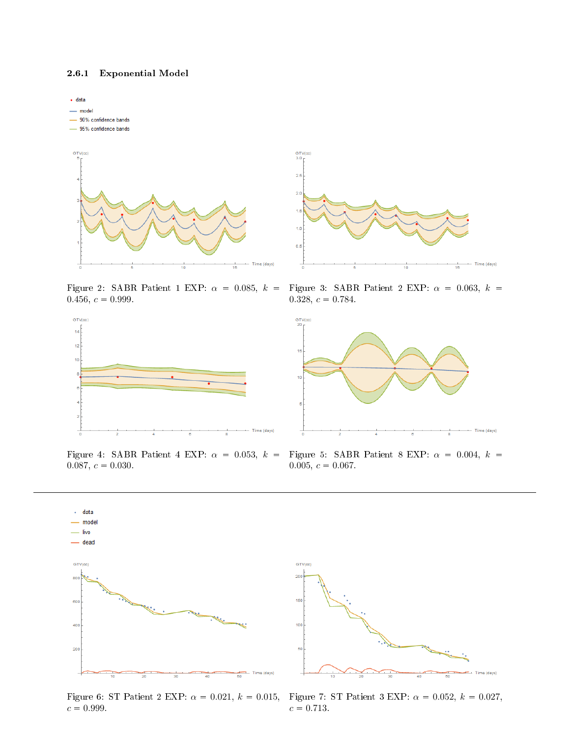#### 2.6.1 Exponential Model



Figure 2: SABR Patient 1 EXP:  $\alpha = 0.085, k =$  $0.456, c = 0.999.$ 



Figure 4: SABR Patient 4 EXP:  $\alpha = 0.053, k =$  $0.087, c = 0.030.$ 



Figure 3: SABR Patient 2 EXP:  $\alpha = 0.063, k =$ 0.328,  $c = 0.784$ .



Figure 5: SABR Patient 8 EXP:  $\alpha = 0.004, k =$  $0.005, c = 0.067.$ 



Figure 6: ST Patient 2 EXP:  $\alpha = 0.021, k = 0.015,$  $c = 0.999$ .



Figure 7: ST Patient 3 EXP:  $\alpha = 0.052, k = 0.027$ ,  $c = 0.713$ .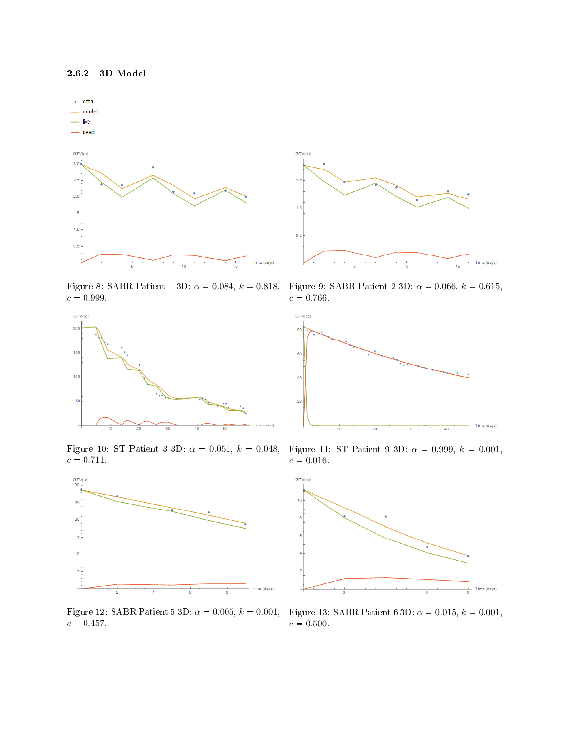





Figure 10: ST Patient 3 3D:  $\alpha = 0.051, k = 0.048,$  $c = 0.711$ .



 $c = 0.457$ 



Figure 9: SABR Patient 2 3D:  $\alpha = 0.066, k = 0.615,$  $c = 0.766$ .



Figure 11: ST Patient 9 3D:  $\alpha = 0.999, k = 0.001,$  $c = 0.016$ .



Figure 12: SABR Patient 5 3D:  $\alpha = 0.005$ ,  $k = 0.001$ , Figure 13: SABR Patient 6 3D:  $\alpha = 0.015$ ,  $k = 0.001$ ,  $c = 0.500$ .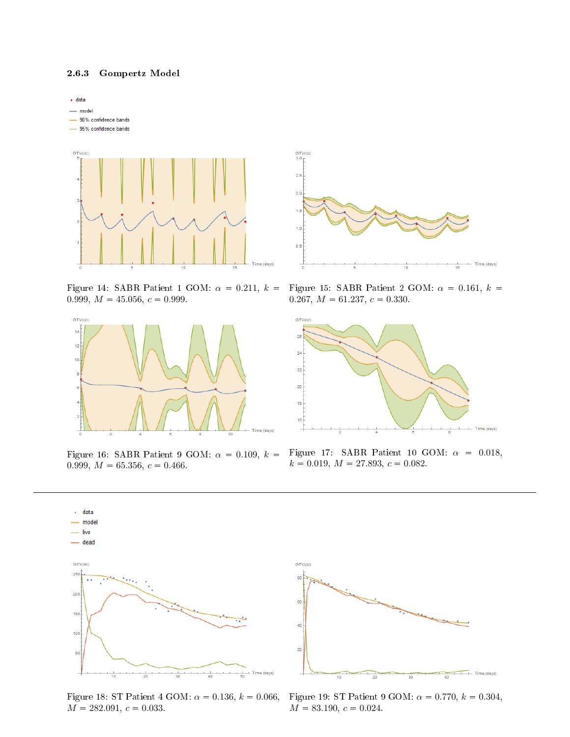#### 2.6.3 Gompertz Model



Figure 14: SABR Patient 1 GOM:  $\alpha = 0.211, k =$ 0.999,  $M = 45.056$ ,  $c = 0.999$ .



Figure 16: SABR Patient 9 GOM:  $\alpha = 0.109$ ,  $k =$ 0.999,  $M = 65.356$ ,  $c = 0.466$ .



Figure 15: SABR Patient 2 GOM:  $\alpha = 0.161, k =$ 0.267,  $M = 61.237$ ,  $c = 0.330$ .



Figure 17: SABR Patient 10 GOM:  $\alpha = 0.018$ ,  $k = 0.019$ ,  $M = 27.893$ ,  $c = 0.082$ .



Figure 18: ST Patient 4 GOM:  $\alpha = 0.136, k = 0.066$ ,  $M = 282.091, c = 0.033.$ 



Figure 19: ST Patient 9 GOM:  $\alpha = 0.770, k = 0.304,$  $M = 83.190, c = 0.024.$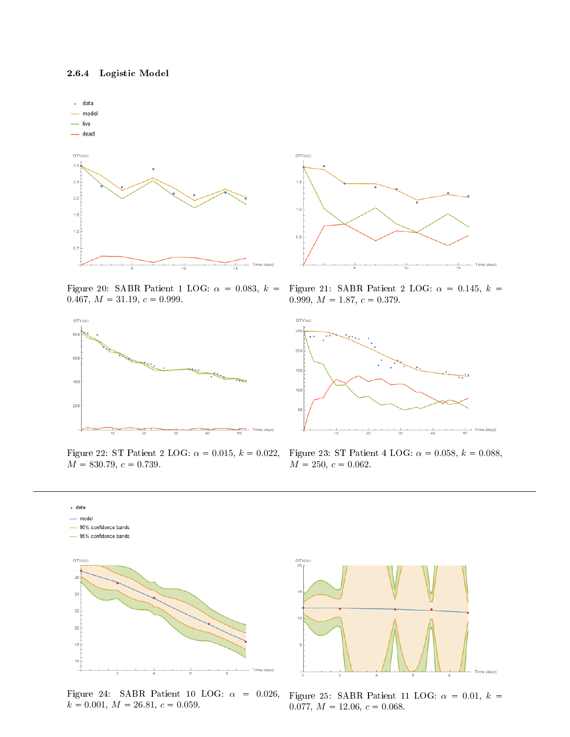

Figure 20: SABR Patient 1 LOG:  $\alpha = 0.083, k =$ 0.467,  $M = 31.19$ ,  $c = 0.999$ .



Figure 22: ST Patient 2 LOG:  $\alpha = 0.015$ ,  $k = 0.022$ ,  $M = 830.79, c = 0.739.$ 



Figure 21: SABR Patient 2 LOG:  $\alpha = 0.145, k =$ 0.999,  $M = 1.87$ ,  $c = 0.379$ .



Figure 23: ST Patient 4 LOG:  $\alpha = 0.058, k = 0.088,$  $M = 250, c = 0.062.$ 



Figure 24: SABR Patient 10 LOG:  $\alpha = 0.026$ ,  $k = 0.001, M = 26.81, c = 0.059.$ 



Figure 25: SABR Patient 11 LOG:  $\alpha = 0.01, k =$ 0.077,  $M = 12.06$ ,  $c = 0.068$ .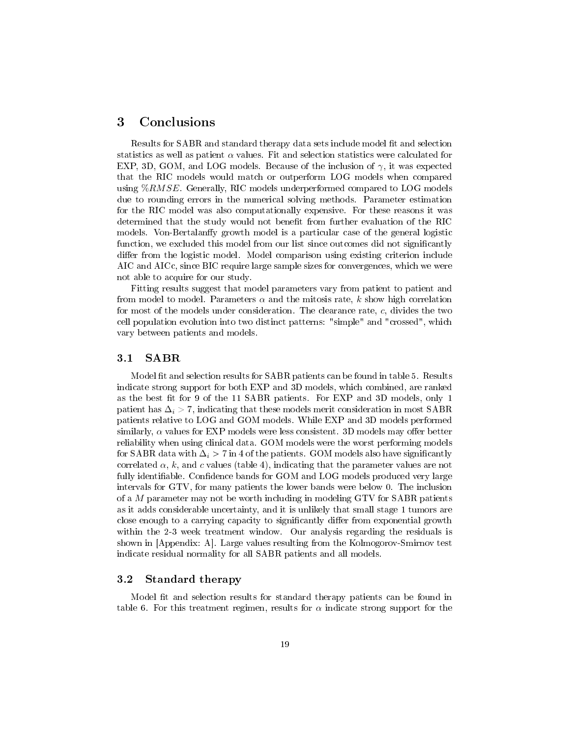## 3 Conclusions

Results for SABR and standard therapy data sets include model fit and selection statistics as well as patient  $\alpha$  values. Fit and selection statistics were calculated for EXP, 3D, GOM, and LOG models. Because of the inclusion of  $\gamma$ , it was expected that the RIC models would match or outperform LOG models when compared using  $\%RMSE$ . Generally, RIC models underperformed compared to LOG models due to rounding errors in the numerical solving methods. Parameter estimation for the RIC model was also computationally expensive. For these reasons it was determined that the study would not benefit from further evaluation of the RIC models. Von-Bertalanffy growth model is a particular case of the general logistic function, we excluded this model from our list since outcomes did not significantly differ from the logistic model. Model comparison using existing criterion include AIC and AICc, since BIC require large sample sizes for convergences, which we were not able to acquire for our study.

Fitting results suggest that model parameters vary from patient to patient and from model to model. Parameters  $\alpha$  and the mitosis rate, k show high correlation for most of the models under consideration. The clearance rate, c, divides the two cell population evolution into two distinct patterns: "simple" and "crossed", which vary between patients and models.

#### 3.1 SABR

Model fit and selection results for SABR patients can be found in table 5. Results indicate strong support for both EXP and 3D models, which combined, are ranked as the best fit for 9 of the 11 SABR patients. For EXP and 3D models, only 1 patient has  $\Delta_i > 7$ , indicating that these models merit consideration in most SABR patients relative to LOG and GOM models. While EXP and 3D models performed similarly,  $\alpha$  values for EXP models were less consistent. 3D models may offer better reliability when using clinical data. GOM models were the worst performing models for SABR data with  $\Delta_i$  > 7 in 4 of the patients. GOM models also have significantly correlated  $\alpha$ , k, and c values (table 4), indicating that the parameter values are not fully identifiable. Confidence bands for GOM and LOG models produced very large intervals for GTV, for many patients the lower bands were below 0. The inclusion of a  $M$  parameter may not be worth including in modeling  $GTV$  for SABR patients as it adds considerable uncertainty, and it is unlikely that small stage 1 tumors are close enough to a carrying capacity to significantly differ from exponential growth within the 2-3 week treatment window. Our analysis regarding the residuals is shown in [Appendix: A]. Large values resulting from the Kolmogorov-Smirnov test indicate residual normality for all SABR patients and all models.

#### 3.2 Standard therapy

Model fit and selection results for standard therapy patients can be found in table 6. For this treatment regimen, results for  $\alpha$  indicate strong support for the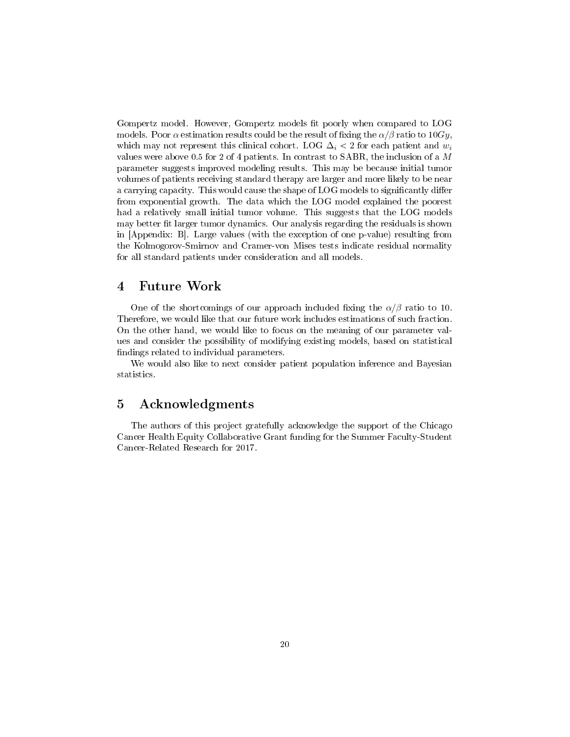Gompertz model. However, Gompertz models fit poorly when compared to LOG models. Poor  $\alpha$  estimation results could be the result of fixing the  $\alpha/\beta$  ratio to 10Gy, which may not represent this clinical cohort. LOG  $\Delta_i$  < 2 for each patient and  $w_i$ values were above 0.5 for 2 of 4 patients. In contrast to SABR, the inclusion of a M parameter suggests improved modeling results. This may be because initial tumor volumes of patients receiving standard therapy are larger and more likely to be near a carrying capacity. This would cause the shape of LOG models to significantly differ from exponential growth. The data which the LOG model explained the poorest had a relatively small initial tumor volume. This suggests that the LOG models may better fit larger tumor dynamics. Our analysis regarding the residuals is shown in [Appendix: B]. Large values (with the exception of one p-value) resulting from the Kolmogorov-Smirnov and Cramer-von Mises tests indicate residual normality for all standard patients under consideration and all models.

## 4 Future Work

One of the shortcomings of our approach included fixing the  $\alpha/\beta$  ratio to 10. Therefore, we would like that our future work includes estimations of such fraction. On the other hand, we would like to focus on the meaning of our parameter values and consider the possibility of modifying existing models, based on statistical ndings related to individual parameters.

We would also like to next consider patient population inference and Bayesian statistics.

## 5 Acknowledgments

The authors of this project gratefully acknowledge the support of the Chicago Cancer Health Equity Collaborative Grant funding for the Summer Faculty-Student Cancer-Related Research for 2017.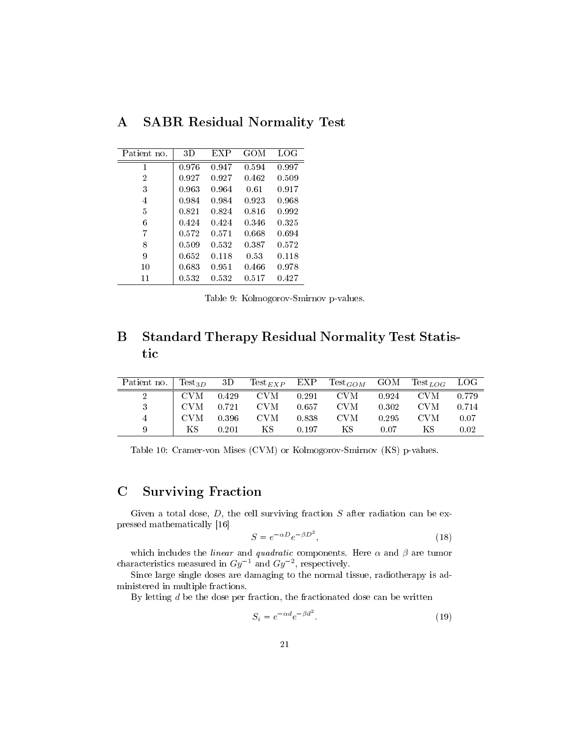| Patient no. | 3D    | EXP   | GOM   | LOG   |
|-------------|-------|-------|-------|-------|
| 1           | 0.976 | 0.947 | 0.594 | 0.997 |
| 2           | 0.927 | 0.927 | 0.462 | 0.509 |
| 3           | 0.963 | 0.964 | 0.61  | 0.917 |
| 4           | 0.984 | 0.984 | 0.923 | 0.968 |
| 5           | 0.821 | 0.824 | 0.816 | 0.992 |
| 6           | 0.424 | 0.424 | 0.346 | 0.325 |
| 7           | 0.572 | 0.571 | 0.668 | 0.694 |
| 8           | 0.509 | 0.532 | 0.387 | 0.572 |
| 9           | 0.652 | 0.118 | 0.53  | 0.118 |
| 10          | 0.683 | 0.951 | 0.466 | 0.978 |
| 11          | 0.532 | 0.532 | 0.517 | 0.427 |

A SABR Residual Normality Test

Table 9: Kolmogorov-Smirnov p-values.

# B Standard Therapy Residual Normality Test Statistic

| Patient no. Test <sub>3D</sub> 3D Test <sub>EXP</sub> EXP Test <sub>GOM</sub> GOM Test <sub>LOG</sub> LOG |          |                         |                                                                                                 |      |                           |       |
|-----------------------------------------------------------------------------------------------------------|----------|-------------------------|-------------------------------------------------------------------------------------------------|------|---------------------------|-------|
|                                                                                                           |          |                         | $\mid$ CVM $\mid$ 0.429 $\mid$ CVM $\mid$ 0.291 $\mid$ CVM $\mid$ 0.924 $\mid$ CVM $\mid$ 0.779 |      |                           |       |
|                                                                                                           |          |                         | CVM 0.721 CVM 0.657 CVM                                                                         |      | $0.302$ $\rm CVM$ $0.714$ |       |
|                                                                                                           |          | CVM 0.396 CVM 0.838 CVM |                                                                                                 |      | 0.295 CVM                 | -0.07 |
|                                                                                                           | KS 0.201 | KS 0.197                | KS –                                                                                            | 0.07 | KS -                      | 0.02  |

Table 10: Cramer-von Mises (CVM) or Kolmogorov-Smirnov (KS) p-values.

## C Surviving Fraction

Given a total dose,  $D$ , the cell surviving fraction  $S$  after radiation can be expressed mathematically [16]

$$
S = e^{-\alpha D} e^{-\beta D^2},\tag{18}
$$

which includes the *linear* and *quadratic* components. Here  $\alpha$  and  $\beta$  are tumor characteristics measured in  $Gy^{-1}$  and  $Gy^{-2}$ , respectively.

Since large single doses are damaging to the normal tissue, radiotherapy is administered in multiple fractions.

By letting  $d$  be the dose per fraction, the fractionated dose can be written

$$
S_i = e^{-\alpha d} e^{-\beta d^2}.
$$
\n(19)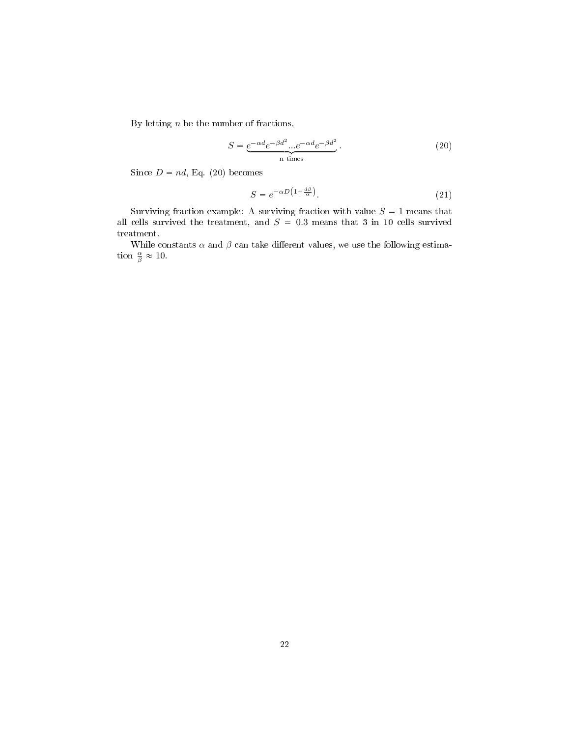By letting  $n$  be the number of fractions,

$$
S = \underbrace{e^{-\alpha d}e^{-\beta d^2}...e^{-\alpha d}e^{-\beta d^2}}_{n \text{ times}}.
$$
\n(20)

Since  $D = nd$ , Eq. (20) becomes

$$
S = e^{-\alpha D \left(1 + \frac{d\beta}{\alpha}\right)}.
$$
\n<sup>(21)</sup>

Surviving fraction example: A surviving fraction with value  $S = 1$  means that all cells survived the treatment, and  $S = 0.3$  means that 3 in 10 cells survived treatment.

While constants  $\alpha$  and  $\beta$  can take different values, we use the following estimation  $\frac{\alpha}{\beta} \approx 10$ .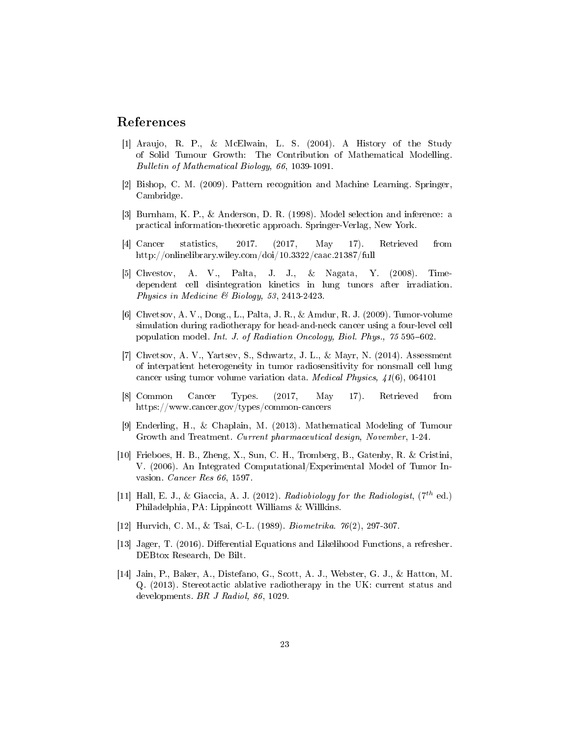## References

- [1] Araujo, R. P., & McElwain, L. S. (2004). A History of the Study of Solid Tumour Growth: The Contribution of Mathematical Modelling. Bulletin of Mathematical Biology, 66, 1039-1091.
- [2] Bishop, C. M. (2009). Pattern recognition and Machine Learning. Springer, Cambridge.
- [3] Burnham, K. P., & Anderson, D. R. (1998). Model selection and inference: a practical information-theoretic approach. Springer-Verlag, New York.
- [4] Cancer statistics, 2017. (2017, May 17). Retrieved from http://onlinelibrary.wiley.com/doi/10.3322/caac.21387/full
- [5] Chvestov, A. V., Palta, J. J., & Nagata, Y. (2008). Timedependent cell disintegration kinetics in lung tunors after irradiation. Physics in Medicine & Biology, 53, 2413-2423.
- [6] Chvetsov, A. V., Dong., L., Palta, J. R., & Amdur, R. J. (2009). Tumor-volume simulation during radiotherapy for head-and-neck cancer using a four-level cell population model. Int. J. of Radiation Oncology, Biol. Phys., 75 595-602.
- [7] Chvetsov, A. V., Yartsev, S., Schwartz, J. L., & Mayr, N. (2014). Assessment of interpatient heterogeneity in tumor radiosensitivity for nonsmall cell lung cancer using tumor volume variation data. Medical Physics, 41(6), 064101
- [8] Common Cancer Types. (2017, May 17). Retrieved from https://www.cancer.gov/types/common-cancers
- [9] Enderling, H., & Chaplain, M. (2013). Mathematical Modeling of Tumour Growth and Treatment. Current pharmaceutical design, November, 1-24.
- [10] Frieboes, H. B., Zheng, X., Sun, C. H., Tromberg, B., Gatenby, R. & Cristini, V. (2006). An Integrated Computational/Experimental Model of Tumor Invasion. Cancer Res 66, 1597.
- [11] Hall, E. J., & Giaccia, A. J. (2012). Radiobiology for the Radiologist,  $(7^{th}$  ed.) Philadelphia, PA: Lippincott Williams & Willkins.
- [12] Hurvich, C. M., & Tsai, C-L. (1989). Biometrika. 76(2), 297-307.
- [13] Jager, T. (2016). Differential Equations and Likelihood Functions, a refresher. DEBtox Research, De Bilt.
- [14] Jain, P., Baker, A., Distefano, G., Scott, A. J., Webster, G. J., & Hatton, M. Q. (2013). Stereotactic ablative radiotherapy in the UK: current status and developments. BR J Radiol, 86, 1029.